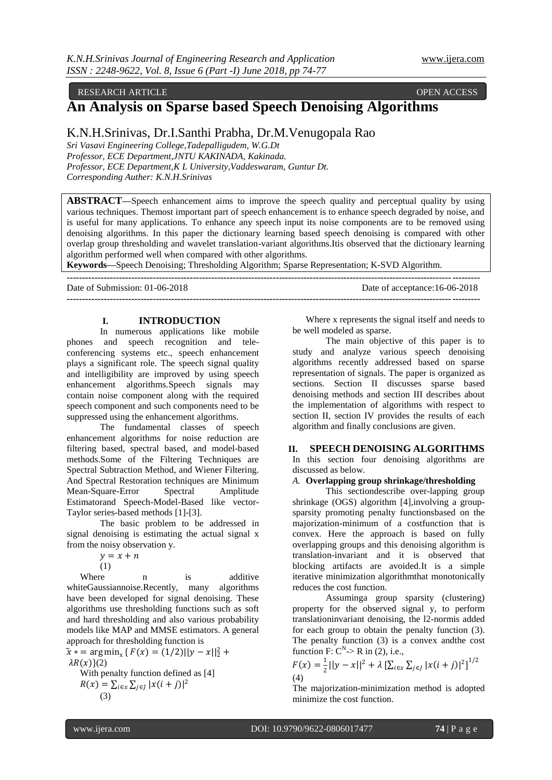# RESEARCH ARTICLE **CONSERVERS** OPEN ACCESS **OPEN ACCESS**

# **An Analysis on Sparse based Speech Denoising Algorithms**

# K.N.H.Srinivas, Dr.I.Santhi Prabha, Dr.M.Venugopala Rao

*Sri Vasavi Engineering College,Tadepalligudem, W.G.Dt Professor, ECE Department,JNTU KAKINADA, Kakinada. Professor, ECE Department,K L University,Vaddeswaram, Guntur Dt. Corresponding Auther: K.N.H.Srinivas*

**ABSTRACT—**Speech enhancement aims to improve the speech quality and perceptual quality by using various techniques. Themost important part of speech enhancement is to enhance speech degraded by noise, and is useful for many applications. To enhance any speech input its noise components are to be removed using denoising algorithms. In this paper the dictionary learning based speech denoising is compared with other overlap group thresholding and wavelet translation-variant algorithms.Itis observed that the dictionary learning algorithm performed well when compared with other algorithms.

**Keywords—**Speech Denoising; Thresholding Algorithm; Sparse Representation; K-SVD Algorithm.

| Date of Submission: $01-06-2018$ | Date of acceptance:16-06-2018 |
|----------------------------------|-------------------------------|
|                                  |                               |

# **I. INTRODUCTION**

In numerous applications like mobile phones and speech recognition and teleconferencing systems etc., speech enhancement plays a significant role. The speech signal quality and intelligibility are improved by using speech enhancement algorithms.Speech signals may contain noise component along with the required speech component and such components need to be suppressed using the enhancement algorithms.

The fundamental classes of speech enhancement algorithms for noise reduction are filtering based, spectral based, and model-based methods.Some of the Filtering Techniques are Spectral Subtraction Method, and Wiener Filtering. And Spectral Restoration techniques are Minimum Mean-Square-Error Spectral Amplitude Estimatorand Speech-Model-Based like vector-Taylor series-based methods [1]-[3].

The basic problem to be addressed in signal denoising is estimating the actual signal x from the noisy observation y.

 $v = x + n$ 

(1)

Where n is additive whiteGaussiannoise.Recently, many algorithms have been developed for signal denoising. These algorithms use thresholding functions such as soft and hard thresholding and also various probability models like MAP and MMSE estimators. A general approach for thresholding function is

 $\tilde{x}$  \* = arg min<sub>x</sub> {  $F(x) = (1/2)||y - x||_2^2 +$  $\lambda R(x)\}(2)$ With penalty function defined as [4]

 $R(x) = \sum_{i \in x} \sum_{j \in J} |x(i + j)|^2$ (3)

Where x represents the signal itself and needs to be well modeled as sparse.

The main objective of this paper is to study and analyze various speech denoising algorithms recently addressed based on sparse representation of signals. The paper is organized as sections. Section II discusses sparse based denoising methods and section III describes about the implementation of algorithms with respect to section II, section IV provides the results of each algorithm and finally conclusions are given.

### **II. SPEECH DENOISING ALGORITHMS**

In this section four denoising algorithms are discussed as below.

# *A.* **Overlapping group shrinkage/thresholding**

This sectiondescribe over-lapping group shrinkage (OGS) algorithm [4],involving a groupsparsity promoting penalty functionsbased on the majorization-minimum of a costfunction that is convex. Here the approach is based on fully overlapping groups and this denoising algorithm is translation-invariant and it is observed that blocking artifacts are avoided.It is a simple iterative minimization algorithmthat monotonically reduces the cost function.

Assuminga group sparsity (clustering) property for the observed signal y, to perform translationinvariant denoising, the l2-normis added for each group to obtain the penalty function (3). The penalty function (3) is a convex andthe cost function F:  $C^N$  > R in (2), i.e.,

$$
F(x) = \frac{1}{2} ||y - x||^2 + \lambda \left[ \sum_{i \in x} \sum_{j \in J} |x(i + j)|^2 \right]^{1/2}
$$
  
(4)

The majorization-minimization method is adopted minimize the cost function.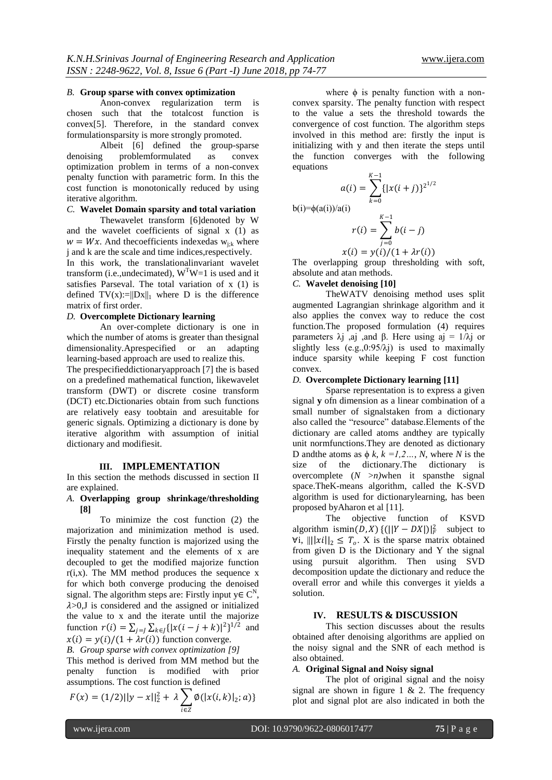#### *B.* **Group sparse with convex optimization**

Anon-convex regularization term is chosen such that the totalcost function is convex[5]. Therefore, in the standard convex formulationsparsity is more strongly promoted.

Albeit [6] defined the group-sparse denoising problemformulated as convex optimization problem in terms of a non-convex penalty function with parametric form. In this the cost function is monotonically reduced by using iterative algorithm.

# *C.* **Wavelet Domain sparsity and total variation**

Thewavelet transform [6]denoted by W and the wavelet coefficients of signal x (1) as  $w = Wx$ . And the coefficients indexed as  $w_{ijk}$  where j and k are the scale and time indices,respectively.

In this work, the translationalinvariant wavelet transform (i.e.,undecimated),  $W<sup>T</sup>W=1$  is used and it satisfies Parseval. The total variation of x (1) is defined  $TV(x):=||Dx||_1$  where D is the difference matrix of first order.

#### *D.* **Overcomplete Dictionary learning**

An over-complete dictionary is one in which the number of atoms is greater than thesignal dimensionality.Aprespecified or an adapting learning-based approach are used to realize this.

The prespecifieddictionaryapproach [7] the is based on a predefined mathematical function, likewavelet transform (DWT) or discrete cosine transform (DCT) etc.Dictionaries obtain from such functions are relatively easy toobtain and aresuitable for generic signals. Optimizing a dictionary is done by iterative algorithm with assumption of initial dictionary and modifiesit.

#### **III. IMPLEMENTATION**

In this section the methods discussed in section II are explained.

#### *A.* **Overlapping group shrinkage/thresholding [8]**

To minimize the cost function (2) the majorization and minimization method is used. Firstly the penalty function is majorized using the inequality statement and the elements of x are decoupled to get the modified majorize function  $r(i,x)$ . The MM method produces the sequence x for which both converge producing the denoised signal. The algorithm steps are: Firstly input  $y \in C^N$ ,  $\lambda$ >0,J is considered and the assigned or initialized the value to x and the iterate until the majorize function  $r(i) = \sum_{j=1}^n \sum_{k \in J} \{ |x(i - j + k)|^2 \}^{1/2}$  and  $x(i) = y(i)/(1 + \lambda r(i))$  function converge.

*B. Group sparse with convex optimization [9]* This method is derived from MM method but the penalty function is modified with prior assumptions. The cost function is defined

$$
F(x) = (1/2)||y - x||_2^2 + \lambda \sum_{i \in \mathbb{Z}} \phi(|x(i, k)|_2; a)
$$

where  $\phi$  is penalty function with a nonconvex sparsity. The penalty function with respect to the value a sets the threshold towards the convergence of cost function. The algorithm steps involved in this method are: firstly the input is initializing with y and then iterate the steps until the function converges with the following equations

 $K-1$ 

 $k=0$ 

$$
a(i) = \sum_{k=0} \{ |x(i+j)|
$$
  
b(i)= $\phi$ (a(i))/a(i)
$$
r(i) = \sum_{k=0}^{K-1} b(i - j)
$$

$$
r(i) = \sum_{j=0}^{i} b(i - j)
$$

$$
x(i) = y(i)/(1 + \lambda r(i))
$$

 $K-1$ 

 $3^{2^{1/2}}$ 

The overlapping group thresholding with soft, absolute and atan methods.

# *C.* **Wavelet denoising [10]**

TheWATV denoising method uses split augmented Lagrangian shrinkage algorithm and it also applies the convex way to reduce the cost function.The proposed formulation (4) requires parameters  $\lambda$ j ,aj ,and β. Here using aj = 1/ $\lambda$ j or slightly less  $(e.g., 0.95/\lambda j)$  is used to maximally induce sparsity while keeping F cost function convex.

# *D.* **Overcomplete Dictionary learning [11]**

Sparse representation is to express a given signal **y** ofn dimension as a linear combination of a small number of signalstaken from a dictionary also called the "resource" database.Elements of the dictionary are called atoms andthey are typically unit normfunctions.They are denoted as dictionary D and the atoms as  $\phi$  *k*,  $k = 1, 2, ..., N$ , where *N* is the size of the dictionary.The dictionary is overcomplete  $(N \ge n)$ when it spansthe signal space.TheK-means algorithm, called the K-SVD algorithm is used for dictionarylearning, has been proposed byAharon et al [11].

The objective function of KSVD algorithm ismin(D, X) {(||Y – DX|)| $^2$  subject to ∀i,  $|| ||x||_2 \leq T_0$ . X is the sparse matrix obtained from given D is the Dictionary and Y the signal using pursuit algorithm. Then using SVD decomposition update the dictionary and reduce the overall error and while this converges it yields a solution.

# **IV. RESULTS & DISCUSSION**

This section discusses about the results obtained after denoising algorithms are applied on the noisy signal and the SNR of each method is also obtained.

#### *A.* **Original Signal and Noisy signal**

The plot of original signal and the noisy signal are shown in figure 1  $\&$  2. The frequency plot and signal plot are also indicated in both the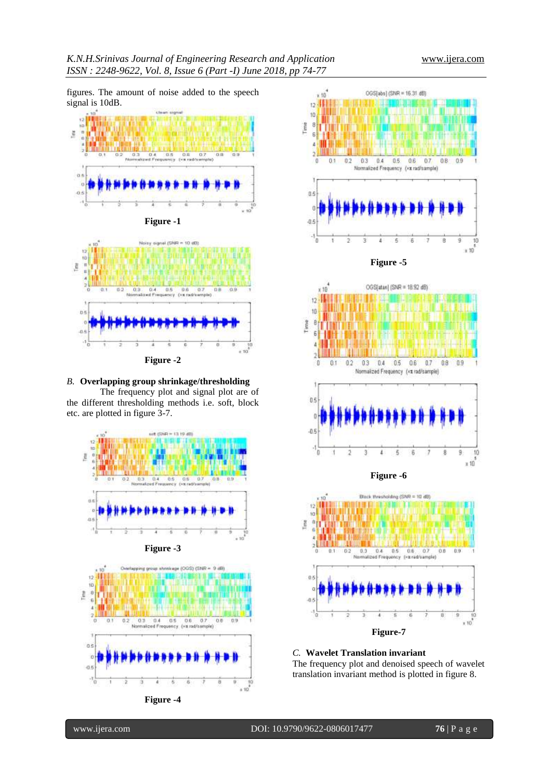figures. The amount of noise added to the speech signal is 10dB.





### *B.* **Overlapping group shrinkage/thresholding**

The frequency plot and signal plot are of the different thresholding methods i.e. soft, block etc. are plotted in figure 3-7.



**Figure -3**







**Figure-7**

# *C.* **Wavelet Translation invariant**

The frequency plot and denoised speech of wavelet translation invariant method is plotted in figure 8.